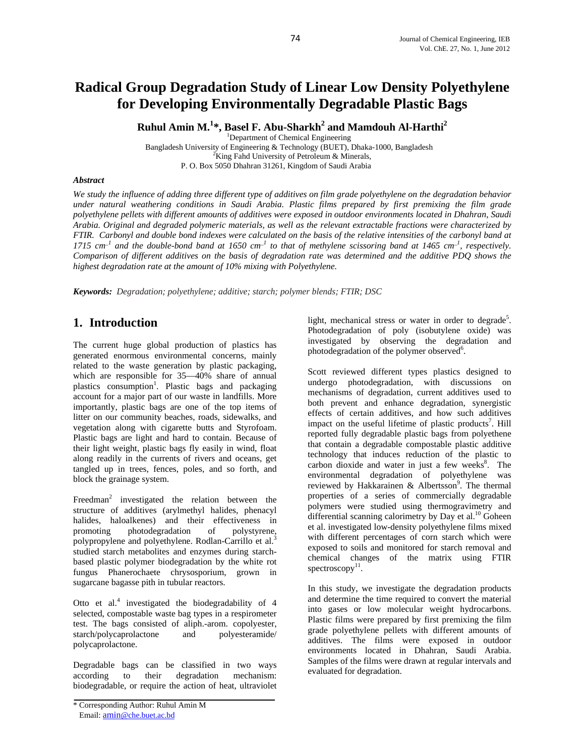# **Radical Group Degradation Study of Linear Low Density Polyethylene for Developing Environmentally Degradable Plastic Bags**

**Ruhul Amin M.<sup>1</sup> \*, Basel F. Abu-Sharkh<sup>2</sup> and Mamdouh Al-Harthi2**

<sup>1</sup>Department of Chemical Engineering Bangladesh University of Engineering & Technology (BUET), Dhaka-1000, Bangladesh 2  $K$ ing Fahd University of Petroleum & Minerals, P. O. Box 5050 Dhahran 31261, Kingdom of Saudi Arabia

#### *Abstract*

*We study the influence of adding three different type of additives on film grade polyethylene on the degradation behavior under natural weathering conditions in Saudi Arabia. Plastic films prepared by first premixing the film grade polyethylene pellets with different amounts of additives were exposed in outdoor environments located in Dhahran, Saudi Arabia. Original and degraded polymeric materials, as well as the relevant extractable fractions were characterized by FTIR. Carbonyl and double bond indexes were calculated on the basis of the relative intensities of the carbonyl band at*   $1715$  cm<sup>-1</sup> and the double-bond band at 1650 cm<sup>-1</sup> to that of methylene scissoring band at 1465 cm<sup>-1</sup>, respectively. *Comparison of different additives on the basis of degradation rate was determined and the additive PDQ shows the highest degradation rate at the amount of 10% mixing with Polyethylene.* 

*Keywords: Degradation; polyethylene; additive; starch; polymer blends; FTIR; DSC*

### **1. Introduction**

The current huge global production of plastics has generated enormous environmental concerns, mainly related to the waste generation by plastic packaging, which are responsible for 35—40% share of annual plastics consumption<sup>1</sup>. Plastic bags and packaging account for a major part of our waste in landfills. More importantly, plastic bags are one of the top items of litter on our community beaches, roads, sidewalks, and vegetation along with cigarette butts and Styrofoam. Plastic bags are light and hard to contain. Because of their light weight, plastic bags fly easily in wind, float along readily in the currents of rivers and oceans, get tangled up in trees, fences, poles, and so forth, and block the grainage system.

Freedman<sup>2</sup> investigated the relation between the structure of additives (arylmethyl halides, phenacyl halides, haloalkenes) and their effectiveness in promoting photodegradation of polystyrene, polypropylene and polyethylene. Rodlan-Carrillo et al.<sup>3</sup> studied starch metabolites and enzymes during starchbased plastic polymer biodegradation by the white rot fungus Phanerochaete chrysosporium, grown in sugarcane bagasse pith in tubular reactors.

Otto et al.<sup>4</sup> investigated the biodegradability of 4 selected, compostable waste bag types in a respirometer test. The bags consisted of aliph.-arom. copolyester, starch/polycaprolactone and polyesteramide/ polycaprolactone.

Degradable bags can be classified in two ways according to their degradation mechanism: biodegradable, or require the action of heat, ultraviolet

light, mechanical stress or water in order to degrade<sup>5</sup>. Photodegradation of poly (isobutylene oxide) was investigated by observing the degradation and photodegradation of the polymer observed<sup>6</sup>.

Scott reviewed different types plastics designed to undergo photodegradation, with discussions on mechanisms of degradation, current additives used to both prevent and enhance degradation, synergistic effects of certain additives, and how such additives impact on the useful lifetime of plastic products<sup>7</sup>. Hill reported fully degradable plastic bags from polyethene that contain a degradable compostable plastic additive technology that induces reduction of the plastic to carbon dioxide and water in just a few weeks $8$ . The environmental degradation of polyethylene was reviewed by Hakkarainen & Albertsson<sup>9</sup>. The thermal properties of a series of commercially degradable polymers were studied using thermogravimetry and differential scanning calorimetry by Day et al.<sup>10</sup> Goheen et al. investigated low-density polyethylene films mixed with different percentages of corn starch which were exposed to soils and monitored for starch removal and chemical changes of the matrix using FTIR spectroscopy $11$ .

In this study, we investigate the degradation products and determine the time required to convert the material into gases or low molecular weight hydrocarbons. Plastic films were prepared by first premixing the film grade polyethylene pellets with different amounts of additives. The films were exposed in outdoor environments located in Dhahran, Saudi Arabia. Samples of the films were drawn at regular intervals and evaluated for degradation.

<sup>\*</sup> Corresponding Author: Ruhul Amin M Email: amin@che.buet.ac.bd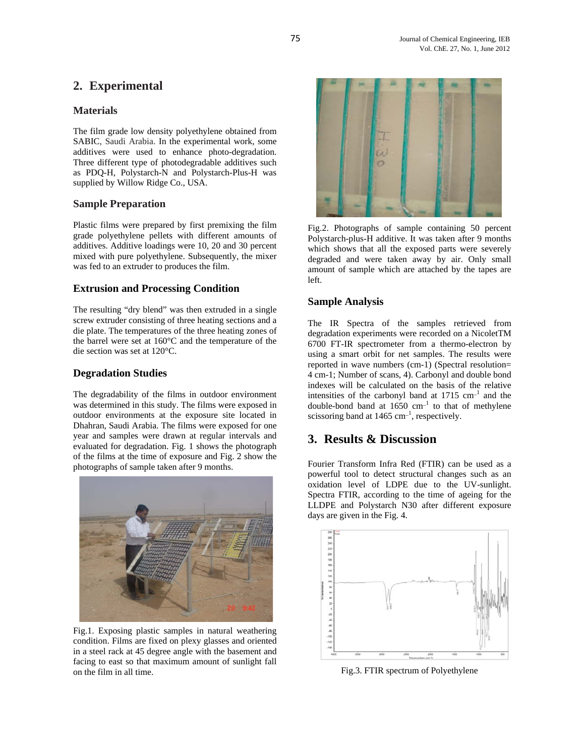## **2. Experimental**

#### **Materials**

The film grade low density polyethylene obtained from SABIC, Saudi Arabia. In the experimental work, some additives were used to enhance photo-degradation. Three different type of photodegradable additives such as PDQ-H, Polystarch-N and Polystarch-Plus-H was supplied by Willow Ridge Co., USA.

#### **Sample Preparation**

Plastic films were prepared by first premixing the film grade polyethylene pellets with different amounts of additives. Additive loadings were 10, 20 and 30 percent mixed with pure polyethylene. Subsequently, the mixer was fed to an extruder to produces the film.

#### **Extrusion and Processing Condition**

The resulting "dry blend" was then extruded in a single screw extruder consisting of three heating sections and a die plate. The temperatures of the three heating zones of the barrel were set at 160°C and the temperature of the die section was set at 120°C.

#### **Degradation Studies**

The degradability of the films in outdoor environment was determined in this study. The films were exposed in outdoor environments at the exposure site located in Dhahran, Saudi Arabia. The films were exposed for one year and samples were drawn at regular intervals and evaluated for degradation. Fig. 1 shows the photograph of the films at the time of exposure and Fig. 2 show the photographs of sample taken after 9 months.



Fig.1. Exposing plastic samples in natural weathering condition. Films are fixed on plexy glasses and oriented in a steel rack at 45 degree angle with the basement and facing to east so that maximum amount of sunlight fall on the film in all time.



Fig.2. Photographs of sample containing 50 percent Polystarch-plus-H additive. It was taken after 9 months which shows that all the exposed parts were severely degraded and were taken away by air. Only small amount of sample which are attached by the tapes are left.

#### **Sample Analysis**

The IR Spectra of the samples retrieved from degradation experiments were recorded on a NicoletTM 6700 FT-IR spectrometer from a thermo-electron by using a smart orbit for net samples. The results were reported in wave numbers (cm-1) (Spectral resolution= 4 cm-1; Number of scans, 4). Carbonyl and double bond indexes will be calculated on the basis of the relative intensities of the carbonyl band at  $1715 \text{ cm}^{-1}$  and the double-bond band at  $1650 \text{ cm}^{-1}$  to that of methylene scissoring band at  $1465 \text{ cm}^{-1}$ , respectively.

### **3. Results & Discussion**

Fourier Transform Infra Red (FTIR) can be used as a powerful tool to detect structural changes such as an oxidation level of LDPE due to the UV-sunlight. Spectra FTIR, according to the time of ageing for the LLDPE and Polystarch N30 after different exposure days are given in the Fig. 4.



Fig.3. FTIR spectrum of Polyethylene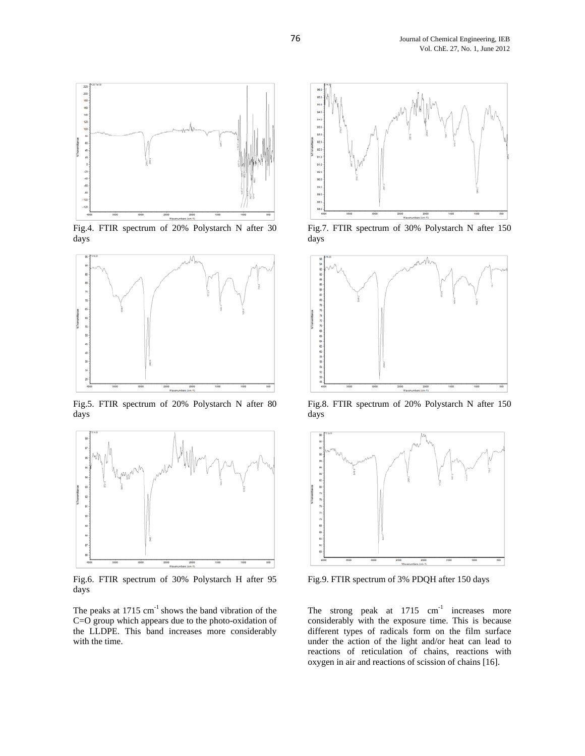

Fig.4. FTIR spectrum of 20% Polystarch N after 30 days



Fig.5. FTIR spectrum of 20% Polystarch N after 80 days



Fig.6. FTIR spectrum of 30% Polystarch H after 95 days

The peaks at  $1715 \text{ cm}^{-1}$  shows the band vibration of the C=O group which appears due to the photo-oxidation of the LLDPE. This band increases more considerably with the time.



Fig.7. FTIR spectrum of 30% Polystarch N after 150 days



Fig.8. FTIR spectrum of 20% Polystarch N after 150 days



Fig.9. FTIR spectrum of 3% PDQH after 150 days

The strong peak at  $1715$  cm<sup>-1</sup> increases more considerably with the exposure time. This is because different types of radicals form on the film surface under the action of the light and/or heat can lead to reactions of reticulation of chains, reactions with oxygen in air and reactions of scission of chains [16].